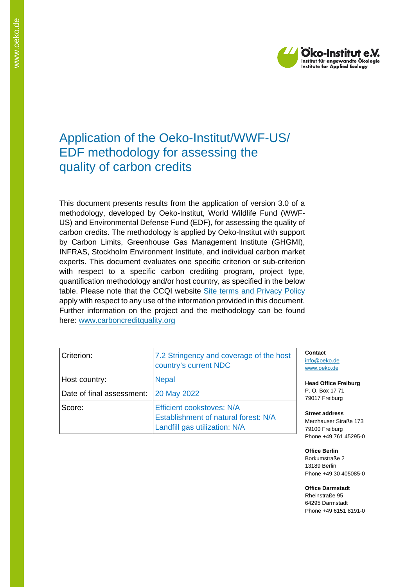

# Application of the Oeko-Institut/WWF-US/ EDF methodology for assessing the quality of carbon credits

This document presents results from the application of version 3.0 of a methodology, developed by Oeko-Institut, World Wildlife Fund (WWF-US) and Environmental Defense Fund (EDF), for assessing the quality of carbon credits. The methodology is applied by Oeko-Institut with support by Carbon Limits, Greenhouse Gas Management Institute (GHGMI), INFRAS, Stockholm Environment Institute, and individual carbon market experts. This document evaluates one specific criterion or sub-criterion with respect to a specific carbon crediting program, project type, quantification methodology and/or host country, as specified in the below table. Please note that the CCQI website [Site terms and Privacy Policy](https://carboncreditquality.org/terms.html) apply with respect to any use of the information provided in this document. Further information on the project and the methodology can be found here: [www.carboncreditquality.org](http://www.carboncreditquality.org/)

| Criterion:                | 7.2 Stringency and coverage of the host<br>country's current NDC                                          |
|---------------------------|-----------------------------------------------------------------------------------------------------------|
| Host country:             | <b>Nepal</b>                                                                                              |
| Date of final assessment: | 20 May 2022                                                                                               |
| Score:                    | <b>Efficient cookstoves: N/A</b><br>Establishment of natural forest: N/A<br>Landfill gas utilization: N/A |

**Contact** [info@oeko.de](mailto:info@oeko.de) [www.oeko.de](http://www.oeko.de/)

**Head Office Freiburg** P. O. Box 17 71 79017 Freiburg

**Street address** Merzhauser Straße 173 79100 Freiburg Phone +49 761 45295-0

**Office Berlin** Borkumstraße 2 13189 Berlin Phone +49 30 405085-0

**Office Darmstadt** Rheinstraße 95 64295 Darmstadt Phone +49 6151 8191-0